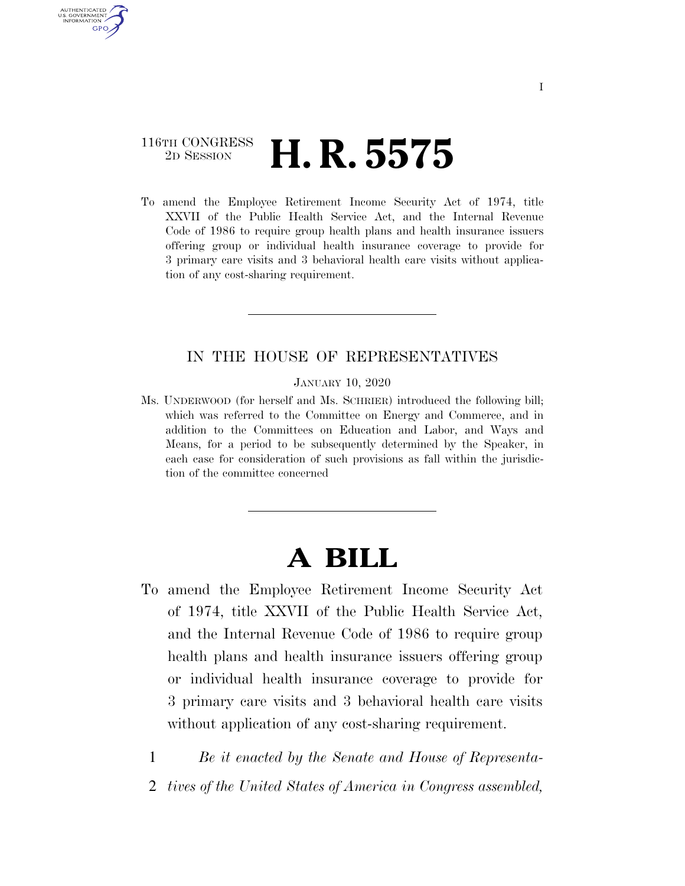### 116TH CONGRESS <sup>2D SESSION</sup> **H. R. 5575**

AUTHENTICATED U.S. GOVERNMENT **GPO** 

> To amend the Employee Retirement Income Security Act of 1974, title XXVII of the Public Health Service Act, and the Internal Revenue Code of 1986 to require group health plans and health insurance issuers offering group or individual health insurance coverage to provide for 3 primary care visits and 3 behavioral health care visits without application of any cost-sharing requirement.

#### IN THE HOUSE OF REPRESENTATIVES

JANUARY 10, 2020

Ms. UNDERWOOD (for herself and Ms. SCHRIER) introduced the following bill; which was referred to the Committee on Energy and Commerce, and in addition to the Committees on Education and Labor, and Ways and Means, for a period to be subsequently determined by the Speaker, in each case for consideration of such provisions as fall within the jurisdiction of the committee concerned

## **A BILL**

To amend the Employee Retirement Income Security Act of 1974, title XXVII of the Public Health Service Act, and the Internal Revenue Code of 1986 to require group health plans and health insurance issuers offering group or individual health insurance coverage to provide for 3 primary care visits and 3 behavioral health care visits without application of any cost-sharing requirement.

1 *Be it enacted by the Senate and House of Representa-*

2 *tives of the United States of America in Congress assembled,*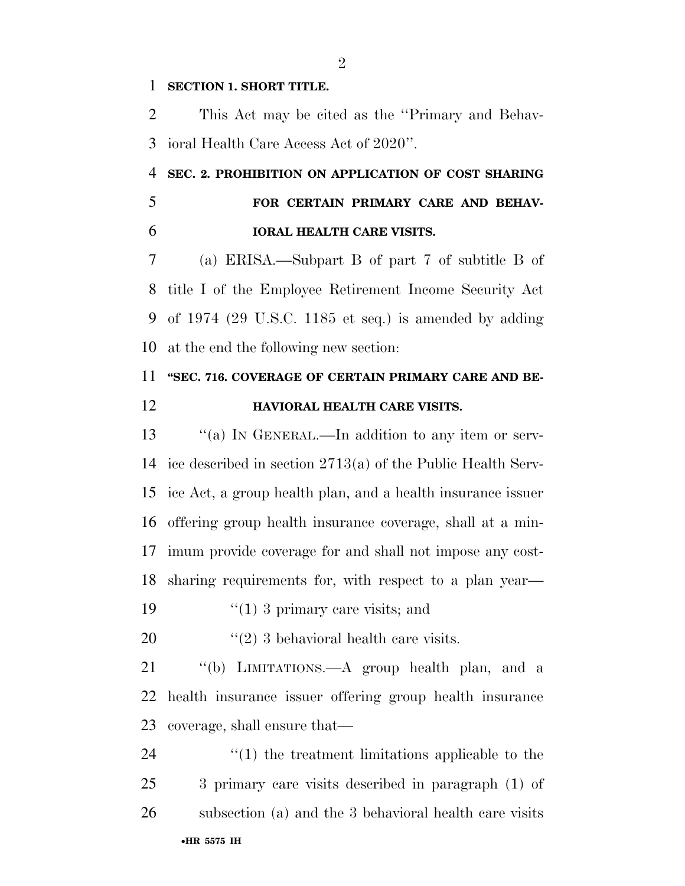#### **SECTION 1. SHORT TITLE.**

 This Act may be cited as the ''Primary and Behav-ioral Health Care Access Act of 2020''.

## **SEC. 2. PROHIBITION ON APPLICATION OF COST SHARING FOR CERTAIN PRIMARY CARE AND BEHAV-IORAL HEALTH CARE VISITS.**

 (a) ERISA.—Subpart B of part 7 of subtitle B of title I of the Employee Retirement Income Security Act of 1974 (29 U.S.C. 1185 et seq.) is amended by adding at the end the following new section:

# **''SEC. 716. COVERAGE OF CERTAIN PRIMARY CARE AND BE-**

**HAVIORAL HEALTH CARE VISITS.** 

13 "(a) IN GENERAL.—In addition to any item or serv- ice described in section 2713(a) of the Public Health Serv- ice Act, a group health plan, and a health insurance issuer offering group health insurance coverage, shall at a min- imum provide coverage for and shall not impose any cost-sharing requirements for, with respect to a plan year—

19  $\frac{1}{2}$  (1) 3 primary care visits; and

20  $\frac{1}{2}$  (2) 3 behavioral health care visits.

 ''(b) LIMITATIONS.—A group health plan, and a health insurance issuer offering group health insurance coverage, shall ensure that—

•**HR 5575 IH**  $\frac{1}{2}$  (1) the treatment limitations applicable to the 3 primary care visits described in paragraph (1) of subsection (a) and the 3 behavioral health care visits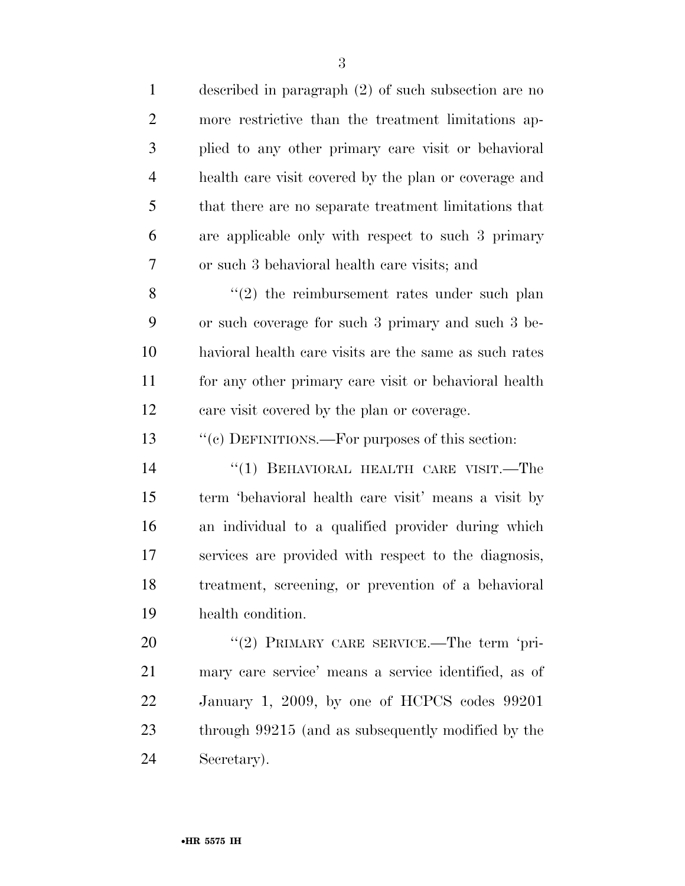| $\mathbf{1}$   | described in paragraph (2) of such subsection are no   |
|----------------|--------------------------------------------------------|
| $\overline{2}$ | more restrictive than the treatment limitations ap-    |
| 3              | plied to any other primary care visit or behavioral    |
| $\overline{4}$ | health care visit covered by the plan or coverage and  |
| 5              | that there are no separate treatment limitations that  |
| 6              | are applicable only with respect to such 3 primary     |
| 7              | or such 3 behavioral health care visits; and           |
| 8              | $\lq(2)$ the reimbursement rates under such plan       |
| 9              | or such coverage for such 3 primary and such 3 be-     |
| 10             | havioral health care visits are the same as such rates |
| 11             | for any other primary care visit or behavioral health  |
| 12             | care visit covered by the plan or coverage.            |
| 13             | "(c) DEFINITIONS.—For purposes of this section:        |
| 14             | $``(1)$ BEHAVIORAL HEALTH CARE VISIT.—The              |
| 15             | term 'behavioral health care visit' means a visit by   |
| 16             | an individual to a qualified provider during which     |
| 17             | services are provided with respect to the diagnosis,   |
| 18             | treatment, screening, or prevention of a behavioral    |
| 19             | health condition.                                      |
| 20             | "(2) PRIMARY CARE SERVICE.—The term 'pri-              |
| 21             | mary care service' means a service identified, as of   |
| 22             | January 1, 2009, by one of HCPCS codes 99201           |
| 23             | through 99215 (and as subsequently modified by the     |
| 24             | Secretary).                                            |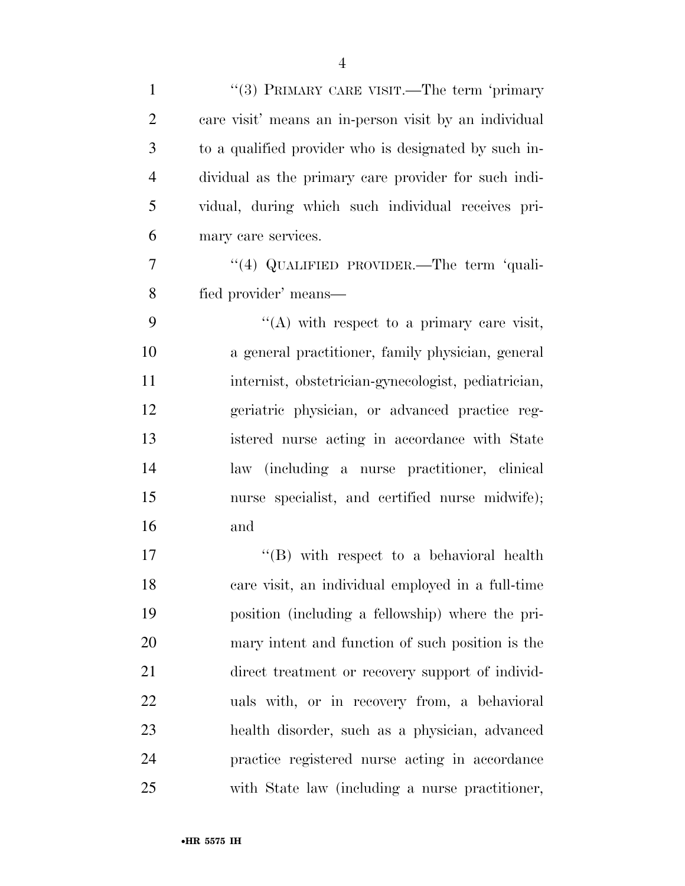| $\mathbf{1}$   | "(3) PRIMARY CARE VISIT.—The term 'primary            |
|----------------|-------------------------------------------------------|
| $\overline{2}$ | care visit' means an in-person visit by an individual |
| 3              | to a qualified provider who is designated by such in- |
| $\overline{4}$ | dividual as the primary care provider for such indi-  |
| 5              | vidual, during which such individual receives pri-    |
| 6              | mary care services.                                   |
| 7              | "(4) QUALIFIED PROVIDER.—The term 'quali-             |
| 8              | fied provider' means—                                 |
| 9              | $\lq\lq$ with respect to a primary care visit,        |
| 10             | a general practitioner, family physician, general     |
| 11             | internist, obstetrician-gynecologist, pediatrician,   |
| 12             | geriatric physician, or advanced practice reg-        |
| 13             | istered nurse acting in accordance with State         |
| 14             | law (including a nurse practitioner, clinical         |
| 15             | nurse specialist, and certified nurse midwife);       |
| 16             | and                                                   |
| 17             | $\lq\lq (B)$ with respect to a behavioral health      |
| 18             | care visit, an individual employed in a full-time     |
| 19             | position (including a fellowship) where the pri-      |
| 20             | mary intent and function of such position is the      |
| 21             | direct treatment or recovery support of individ-      |
| 22             | uals with, or in recovery from, a behavioral          |
| 23             | health disorder, such as a physician, advanced        |
| 24             | practice registered nurse acting in accordance        |
| 25             | with State law (including a nurse practitioner,       |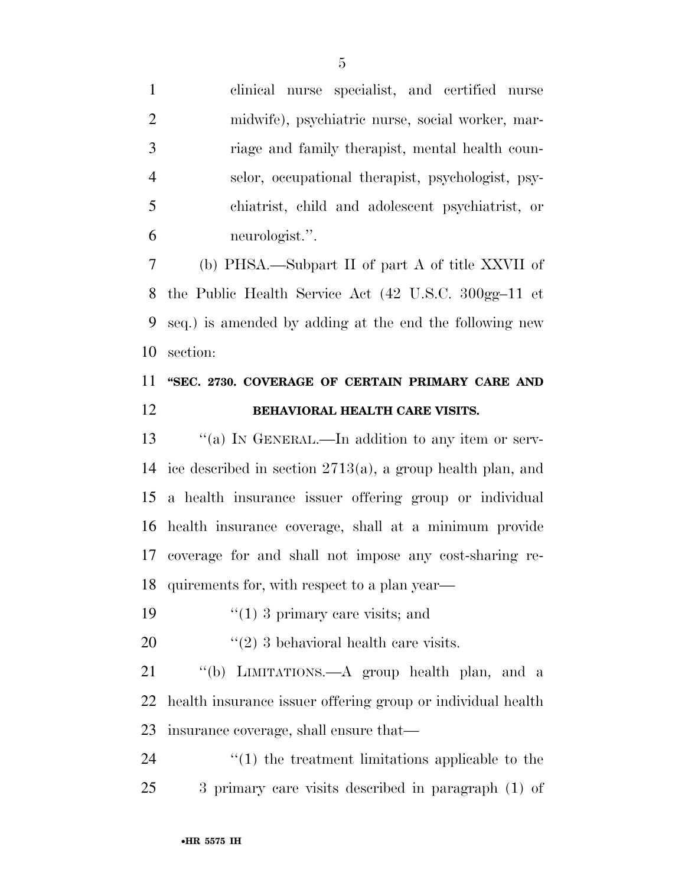clinical nurse specialist, and certified nurse midwife), psychiatric nurse, social worker, mar- riage and family therapist, mental health coun- selor, occupational therapist, psychologist, psy- chiatrist, child and adolescent psychiatrist, or neurologist.''.

 (b) PHSA.—Subpart II of part A of title XXVII of the Public Health Service Act (42 U.S.C. 300gg–11 et seq.) is amended by adding at the end the following new section:

### **''SEC. 2730. COVERAGE OF CERTAIN PRIMARY CARE AND BEHAVIORAL HEALTH CARE VISITS.**

13 "(a) IN GENERAL.—In addition to any item or serv- ice described in section 2713(a), a group health plan, and a health insurance issuer offering group or individual health insurance coverage, shall at a minimum provide coverage for and shall not impose any cost-sharing re-quirements for, with respect to a plan year—

19  $\frac{1}{2}$  (1) 3 primary care visits; and

20  $\frac{1}{2}$   $\frac{1}{2}$  3 behavioral health care visits.

 ''(b) LIMITATIONS.—A group health plan, and a health insurance issuer offering group or individual health insurance coverage, shall ensure that—

24  $\frac{1}{2}$  (1) the treatment limitations applicable to the 3 primary care visits described in paragraph (1) of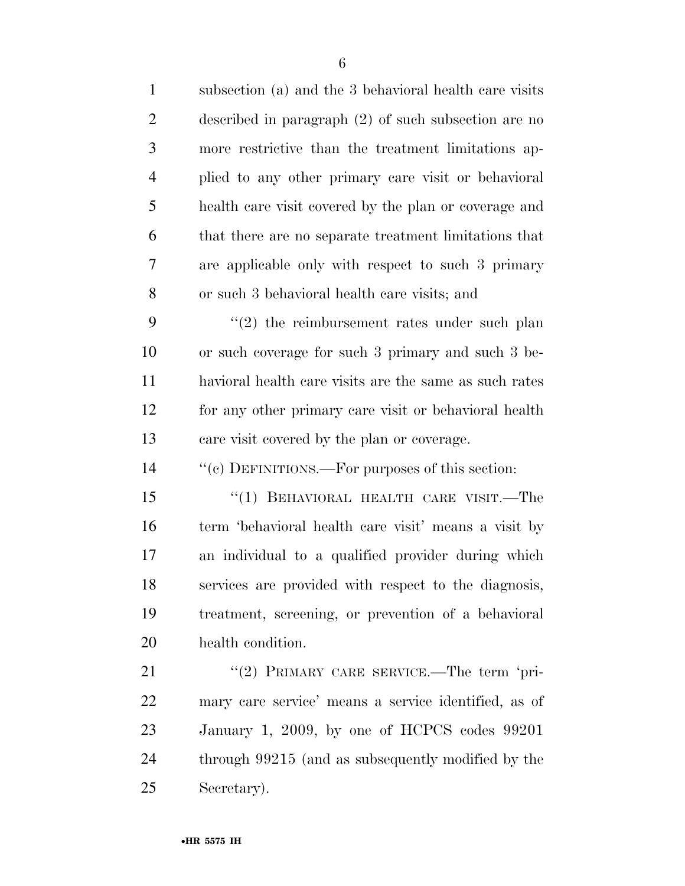| $\mathbf{1}$   | subsection (a) and the 3 behavioral health care visits |
|----------------|--------------------------------------------------------|
| $\overline{2}$ | described in paragraph $(2)$ of such subsection are no |
| 3              | more restrictive than the treatment limitations ap-    |
| $\overline{4}$ | plied to any other primary care visit or behavioral    |
| 5              | health care visit covered by the plan or coverage and  |
| 6              | that there are no separate treatment limitations that  |
| 7              | are applicable only with respect to such 3 primary     |
| 8              | or such 3 behavioral health care visits; and           |
| 9              | $\lq(2)$ the reimbursement rates under such plan       |
| 10             | or such coverage for such 3 primary and such 3 be-     |
| 11             | havioral health care visits are the same as such rates |
| 12             | for any other primary care visit or behavioral health  |
| 13             | care visit covered by the plan or coverage.            |
| 14             | "(c) DEFINITIONS.—For purposes of this section:        |
| 15             | "(1) BEHAVIORAL HEALTH CARE VISIT.—The                 |
| 16             | term 'behavioral health care visit' means a visit by   |
| 17             | an individual to a qualified provider during which     |
| 18             | services are provided with respect to the diagnosis,   |
| 19             | treatment, screening, or prevention of a behavioral    |
| 20             | health condition.                                      |
| 21             | "(2) PRIMARY CARE SERVICE.—The term 'pri-              |
| 22             | mary care service' means a service identified, as of   |
| 23             | January 1, 2009, by one of HCPCS codes 99201           |
| 24             | through 99215 (and as subsequently modified by the     |
| 25             | Secretary).                                            |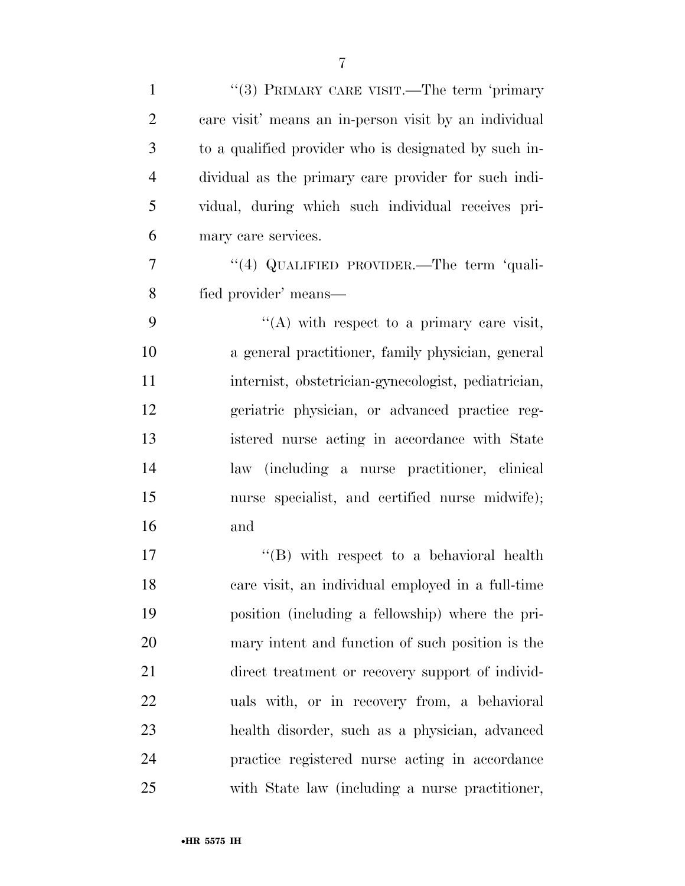| $\mathbf{1}$   | "(3) PRIMARY CARE VISIT.—The term 'primary            |
|----------------|-------------------------------------------------------|
| $\overline{2}$ | care visit' means an in-person visit by an individual |
| 3              | to a qualified provider who is designated by such in- |
| $\overline{4}$ | dividual as the primary care provider for such indi-  |
| 5              | vidual, during which such individual receives pri-    |
| 6              | mary care services.                                   |
| 7              | "(4) QUALIFIED PROVIDER.—The term 'quali-             |
| 8              | fied provider' means—                                 |
| 9              | $\lq\lq$ with respect to a primary care visit,        |
| 10             | a general practitioner, family physician, general     |
| 11             | internist, obstetrician-gynecologist, pediatrician,   |
| 12             | geriatric physician, or advanced practice reg-        |
| 13             | istered nurse acting in accordance with State         |
| 14             | law (including a nurse practitioner, clinical         |
| 15             | nurse specialist, and certified nurse midwife);       |
| 16             | and                                                   |
| 17             | $\lq\lq (B)$ with respect to a behavioral health      |
| 18             | care visit, an individual employed in a full-time     |
| 19             | position (including a fellowship) where the pri-      |
| 20             | mary intent and function of such position is the      |
| 21             | direct treatment or recovery support of individ-      |
| 22             | uals with, or in recovery from, a behavioral          |
| 23             | health disorder, such as a physician, advanced        |
| 24             | practice registered nurse acting in accordance        |
| 25             | with State law (including a nurse practitioner,       |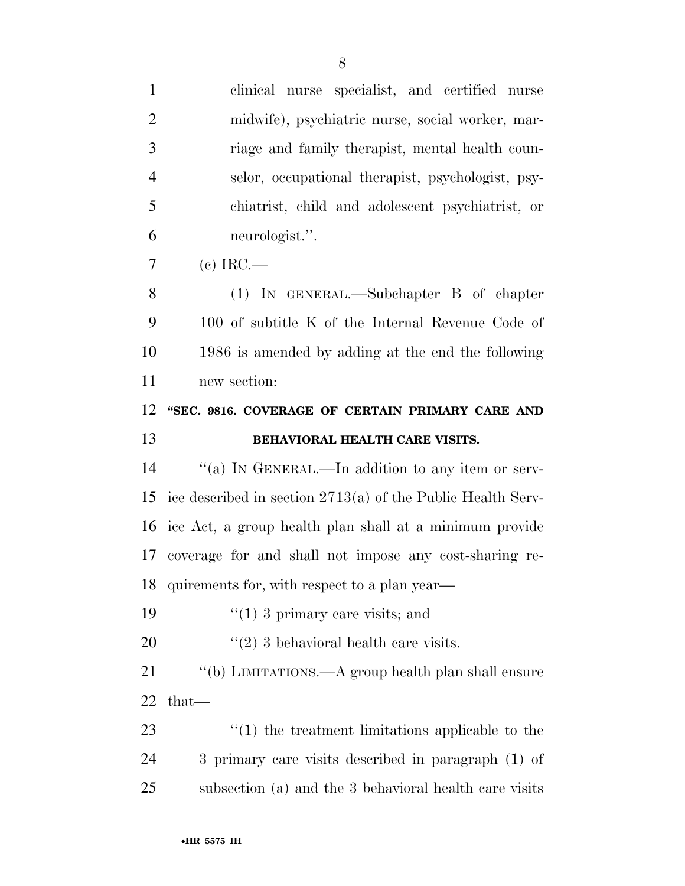| $\mathbf{1}$   | clinical nurse specialist, and certified nurse                |
|----------------|---------------------------------------------------------------|
| $\overline{2}$ | midwife), psychiatric nurse, social worker, mar-              |
| 3              | riage and family therapist, mental health coun-               |
| $\overline{4}$ | selor, occupational therapist, psychologist, psy-             |
| 5              | chiatrist, child and adolescent psychiatrist, or              |
| 6              | neurologist.".                                                |
| 7              | $\alpha$ IRC.—                                                |
| 8              | $(1)$ IN GENERAL.—Subchapter B of chapter                     |
| 9              | 100 of subtitle K of the Internal Revenue Code of             |
| 10             | 1986 is amended by adding at the end the following            |
| 11             | new section:                                                  |
| 12             | "SEC. 9816. COVERAGE OF CERTAIN PRIMARY CARE AND              |
|                |                                                               |
| 13             | BEHAVIORAL HEALTH CARE VISITS.                                |
| 14             | "(a) IN GENERAL.—In addition to any item or serv-             |
| 15             | ice described in section $2713(a)$ of the Public Health Serv- |
|                | 16 ice Act, a group health plan shall at a minimum provide    |
| 17             | coverage for and shall not impose any cost-sharing re-        |
| 18             | quirements for, with respect to a plan year—                  |
| 19             | $\lq(1)$ 3 primary care visits; and                           |
| 20             | $\lq(2)$ 3 behavioral health care visits.                     |
| 21             | $\lq\lq(b)$ LIMITATIONS.—A group health plan shall ensure     |
| 22             | that—                                                         |
| 23             | $"(1)$ the treatment limitations applicable to the            |
| 24             | 3 primary care visits described in paragraph (1) of           |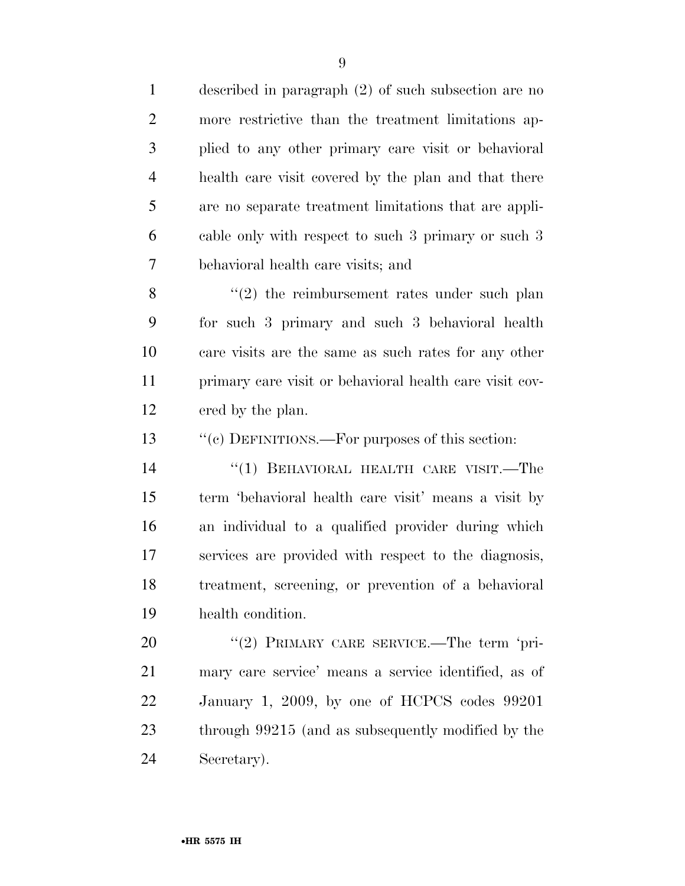| $\mathbf{1}$   | described in paragraph $(2)$ of such subsection are no  |
|----------------|---------------------------------------------------------|
| $\overline{2}$ | more restrictive than the treatment limitations ap-     |
| 3              | plied to any other primary care visit or behavioral     |
| $\overline{4}$ | health care visit covered by the plan and that there    |
| 5              | are no separate treatment limitations that are appli-   |
| 6              | cable only with respect to such 3 primary or such 3     |
| 7              | behavioral health care visits; and                      |
| 8              | $(2)$ the reimbursement rates under such plan           |
| 9              | for such 3 primary and such 3 behavioral health         |
| 10             | care visits are the same as such rates for any other    |
| 11             | primary care visit or behavioral health care visit cov- |
| 12             | ered by the plan.                                       |
| 13             | "(c) DEFINITIONS.—For purposes of this section:         |
| 14             | "(1) BEHAVIORAL HEALTH CARE VISIT.—The                  |
| 15             | term 'behavioral health care visit' means a visit by    |
| 16             | an individual to a qualified provider during which      |
| 17             | services are provided with respect to the diagnosis,    |
| 18             | treatment, screening, or prevention of a behavioral     |
| 19             | health condition.                                       |
| 20             | "(2) PRIMARY CARE SERVICE.—The term 'pri-               |
| 21             | mary care service' means a service identified, as of    |
| 22             | January 1, 2009, by one of HCPCS codes 99201            |
| 23             | through 99215 (and as subsequently modified by the      |
| 24             | Secretary).                                             |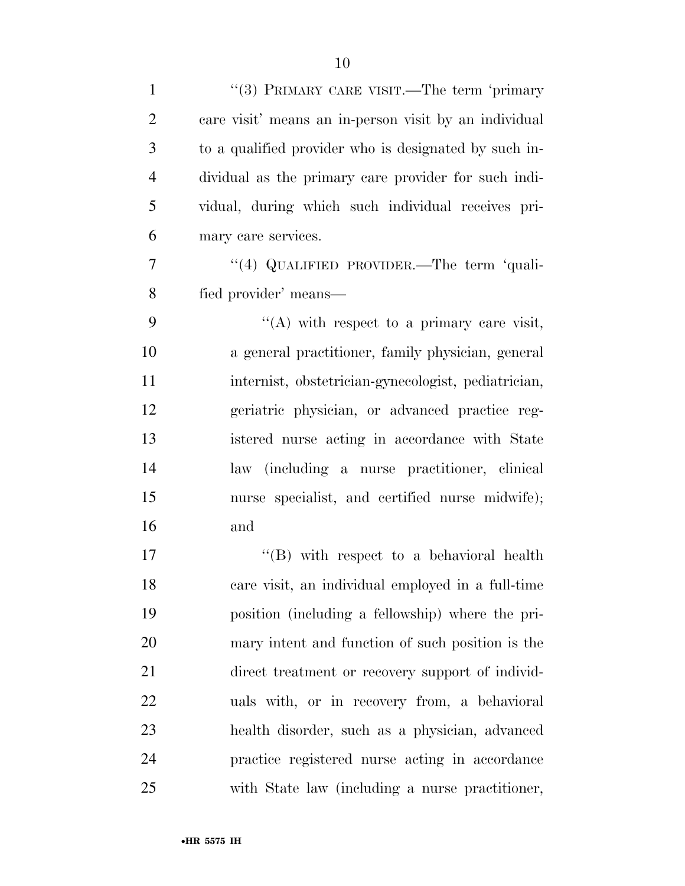| $\mathbf{1}$   | "(3) PRIMARY CARE VISIT.—The term 'primary            |
|----------------|-------------------------------------------------------|
| $\overline{2}$ | care visit' means an in-person visit by an individual |
| 3              | to a qualified provider who is designated by such in- |
| $\overline{4}$ | dividual as the primary care provider for such indi-  |
| 5              | vidual, during which such individual receives pri-    |
| 6              | mary care services.                                   |
| 7              | "(4) QUALIFIED PROVIDER.—The term 'quali-             |
| 8              | fied provider' means—                                 |
| 9              | $\lq\lq$ with respect to a primary care visit,        |
| 10             | a general practitioner, family physician, general     |
| 11             | internist, obstetrician-gynecologist, pediatrician,   |
| 12             | geriatric physician, or advanced practice reg-        |
| 13             | istered nurse acting in accordance with State         |
| 14             | law (including a nurse practitioner, clinical         |
| 15             | nurse specialist, and certified nurse midwife);       |
| 16             | and                                                   |
| 17             | $\lq\lq (B)$ with respect to a behavioral health      |
| 18             | care visit, an individual employed in a full-time     |
| 19             | position (including a fellowship) where the pri-      |
| 20             | mary intent and function of such position is the      |
| 21             | direct treatment or recovery support of individ-      |
| 22             | uals with, or in recovery from, a behavioral          |
| 23             | health disorder, such as a physician, advanced        |
| 24             | practice registered nurse acting in accordance        |
| 25             | with State law (including a nurse practitioner,       |